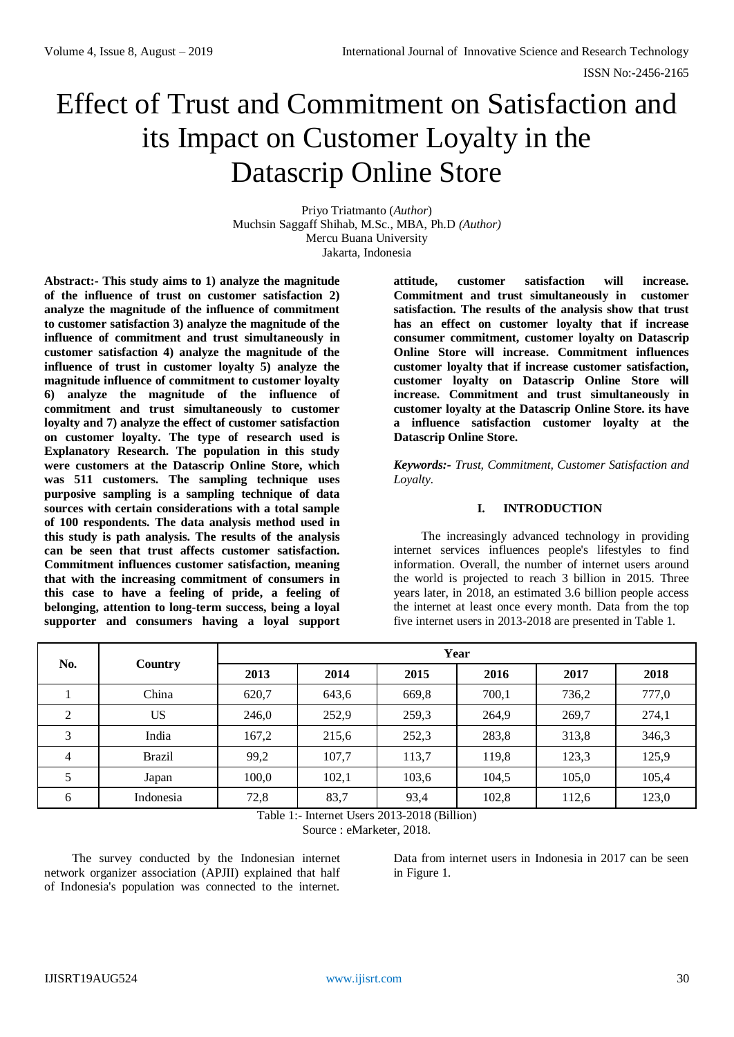# Effect of Trust and Commitment on Satisfaction and its Impact on Customer Loyalty in the Datascrip Online Store

Priyo Triatmanto (*Author*) Muchsin Saggaff Shihab, M.Sc., MBA, Ph.D *(Author)* Mercu Buana University Jakarta, Indonesia

**Abstract:- This study aims to 1) analyze the magnitude of the influence of trust on customer satisfaction 2) analyze the magnitude of the influence of commitment to customer satisfaction 3) analyze the magnitude of the influence of commitment and trust simultaneously in customer satisfaction 4) analyze the magnitude of the influence of trust in customer loyalty 5) analyze the magnitude influence of commitment to customer loyalty 6) analyze the magnitude of the influence of commitment and trust simultaneously to customer loyalty and 7) analyze the effect of customer satisfaction on customer loyalty. The type of research used is Explanatory Research. The population in this study were customers at the Datascrip Online Store, which was 511 customers. The sampling technique uses purposive sampling is a sampling technique of data sources with certain considerations with a total sample of 100 respondents. The data analysis method used in this study is path analysis. The results of the analysis can be seen that trust affects customer satisfaction. Commitment influences customer satisfaction, meaning that with the increasing commitment of consumers in this case to have a feeling of pride, a feeling of belonging, attention to long-term success, being a loyal supporter and consumers having a loyal support** 

**attitude, customer satisfaction will increase. Commitment and trust simultaneously in customer satisfaction. The results of the analysis show that trust has an effect on customer loyalty that if increase consumer commitment, customer loyalty on Datascrip Online Store will increase. Commitment influences customer loyalty that if increase customer satisfaction, customer loyalty on Datascrip Online Store will increase. Commitment and trust simultaneously in customer loyalty at the Datascrip Online Store. its have a influence satisfaction customer loyalty at the Datascrip Online Store.**

*Keywords:- Trust, Commitment, Customer Satisfaction and Loyalty.*

## **I. INTRODUCTION**

The increasingly advanced technology in providing internet services influences people's lifestyles to find information. Overall, the number of internet users around the world is projected to reach 3 billion in 2015. Three years later, in 2018, an estimated 3.6 billion people access the internet at least once every month. Data from the top five internet users in 2013-2018 are presented in Table 1.

| No.            |               | Year  |       |       |       |       |       |  |
|----------------|---------------|-------|-------|-------|-------|-------|-------|--|
|                | Country       | 2013  | 2014  | 2015  | 2016  | 2017  | 2018  |  |
|                | China         | 620,7 | 643,6 | 669,8 | 700,1 | 736,2 | 777,0 |  |
| 2              | <b>US</b>     | 246,0 | 252,9 | 259,3 | 264,9 | 269,7 | 274,1 |  |
| 3              | India         | 167,2 | 215,6 | 252,3 | 283,8 | 313,8 | 346,3 |  |
| $\overline{4}$ | <b>Brazil</b> | 99,2  | 107,7 | 113,7 | 119,8 | 123,3 | 125,9 |  |
| 5              | Japan         | 100,0 | 102,1 | 103,6 | 104,5 | 105,0 | 105,4 |  |
| 6              | Indonesia     | 72,8  | 83,7  | 93,4  | 102,8 | 112,6 | 123,0 |  |

Table 1:- Internet Users 2013-2018 (Billion)

Source : eMarketer, 2018.

The survey conducted by the Indonesian internet network organizer association (APJII) explained that half of Indonesia's population was connected to the internet.

Data from internet users in Indonesia in 2017 can be seen in Figure 1.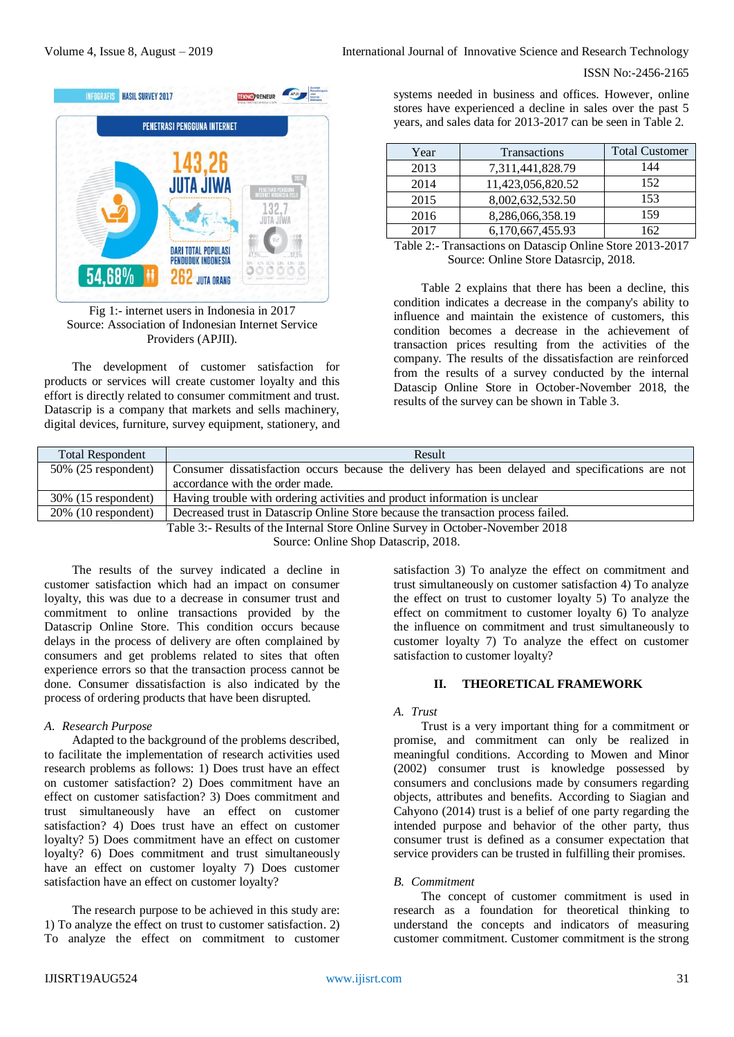

Fig 1:- internet users in Indonesia in 2017 Source: Association of Indonesian Internet Service Providers (APJII).

The development of customer satisfaction for products or services will create customer loyalty and this effort is directly related to consumer commitment and trust. Datascrip is a company that markets and sells machinery, digital devices, furniture, survey equipment, stationery, and

systems needed in business and offices. However, online stores have experienced a decline in sales over the past 5 years, and sales data for 2013-2017 can be seen in Table 2.

| Year | <b>Transactions</b> | <b>Total Customer</b> |
|------|---------------------|-----------------------|
| 2013 | 7,311,441,828.79    | 144                   |
| 2014 | 11,423,056,820.52   | 152                   |
| 2015 | 8,002,632,532.50    | 153                   |
| 2016 | 8,286,066,358.19    | 159                   |
| 2017 | 6,170,667,455.93    | 162                   |

Table 2:- Transactions on Datascip Online Store 2013-2017 Source: Online Store Datasrcip, 2018.

Table 2 explains that there has been a decline, this condition indicates a decrease in the company's ability to influence and maintain the existence of customers, this condition becomes a decrease in the achievement of transaction prices resulting from the activities of the company. The results of the dissatisfaction are reinforced from the results of a survey conducted by the internal Datascip Online Store in October-November 2018, the results of the survey can be shown in Table 3.

| <b>Total Respondent</b>                                                                                     | Result                                                                                           |  |  |  |
|-------------------------------------------------------------------------------------------------------------|--------------------------------------------------------------------------------------------------|--|--|--|
| $50\%$ (25 respondent)                                                                                      | Consumer dissatisfaction occurs because the delivery has been delayed and specifications are not |  |  |  |
|                                                                                                             | accordance with the order made.                                                                  |  |  |  |
| $30\%$ (15 respondent)                                                                                      | Having trouble with ordering activities and product information is unclear                       |  |  |  |
| $20\%$ (10 respondent)<br>Decreased trust in Datascrip Online Store because the transaction process failed. |                                                                                                  |  |  |  |
| Table 3:- Results of the Internal Store Online Survey in October-November 2018                              |                                                                                                  |  |  |  |

Source: Online Shop Datascrip, 2018.

The results of the survey indicated a decline in customer satisfaction which had an impact on consumer loyalty, this was due to a decrease in consumer trust and commitment to online transactions provided by the Datascrip Online Store. This condition occurs because delays in the process of delivery are often complained by consumers and get problems related to sites that often experience errors so that the transaction process cannot be done. Consumer dissatisfaction is also indicated by the process of ordering products that have been disrupted.

## *A. Research Purpose*

Adapted to the background of the problems described, to facilitate the implementation of research activities used research problems as follows: 1) Does trust have an effect on customer satisfaction? 2) Does commitment have an effect on customer satisfaction? 3) Does commitment and trust simultaneously have an effect on customer satisfaction? 4) Does trust have an effect on customer loyalty? 5) Does commitment have an effect on customer loyalty? 6) Does commitment and trust simultaneously have an effect on customer loyalty 7) Does customer satisfaction have an effect on customer loyalty?

The research purpose to be achieved in this study are: 1) To analyze the effect on trust to customer satisfaction. 2) To analyze the effect on commitment to customer

satisfaction 3) To analyze the effect on commitment and trust simultaneously on customer satisfaction 4) To analyze the effect on trust to customer loyalty 5) To analyze the effect on commitment to customer loyalty 6) To analyze the influence on commitment and trust simultaneously to customer loyalty 7) To analyze the effect on customer satisfaction to customer loyalty?

## **II. THEORETICAL FRAMEWORK**

## *A. Trust*

Trust is a very important thing for a commitment or promise, and commitment can only be realized in meaningful conditions. According to Mowen and Minor (2002) consumer trust is knowledge possessed by consumers and conclusions made by consumers regarding objects, attributes and benefits. According to Siagian and Cahyono (2014) trust is a belief of one party regarding the intended purpose and behavior of the other party, thus consumer trust is defined as a consumer expectation that service providers can be trusted in fulfilling their promises.

## *B. Commitment*

The concept of customer commitment is used in research as a foundation for theoretical thinking to understand the concepts and indicators of measuring customer commitment. Customer commitment is the strong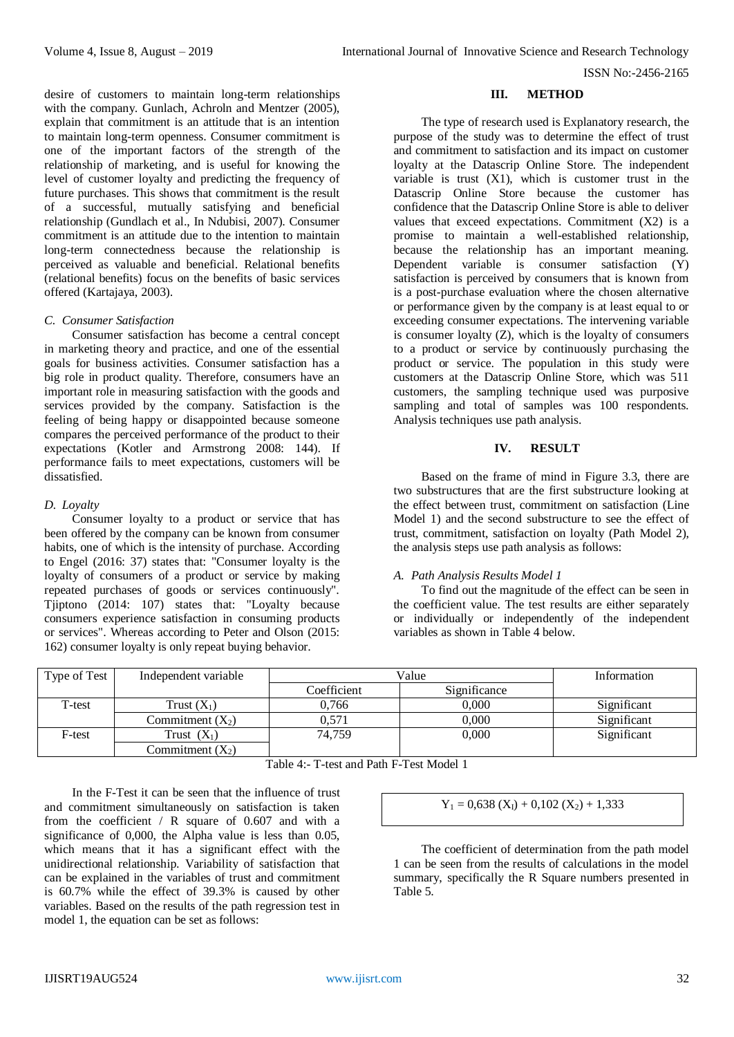**III. METHOD**

with the company. Gunlach, Achroln and Mentzer (2005), explain that commitment is an attitude that is an intention to maintain long-term openness. Consumer commitment is one of the important factors of the strength of the relationship of marketing, and is useful for knowing the level of customer loyalty and predicting the frequency of future purchases. This shows that commitment is the result of a successful, mutually satisfying and beneficial relationship (Gundlach et al., In Ndubisi, 2007). Consumer commitment is an attitude due to the intention to maintain long-term connectedness because the relationship is perceived as valuable and beneficial. Relational benefits (relational benefits) focus on the benefits of basic services offered (Kartajaya, 2003). The type of research used is Explanatory research, the purpose of the study was to determine the effect of trust and commitment to satisfaction and its impact on customer loyalty at the Datascrip Online Store. The independent

## *C. Consumer Satisfaction*

Consumer satisfaction has become a central concept in marketing theory and practice, and one of the essential goals for business activities. Consumer satisfaction has a big role in product quality. Therefore, consumers have an important role in measuring satisfaction with the goods and services provided by the company. Satisfaction is the feeling of being happy or disappointed because someone compares the perceived performance of the product to their expectations (Kotler and Armstrong 2008: 144). If performance fails to meet expectations, customers will be dissatisfied.

desire of customers to maintain long-term relationships

## *D. Loyalty*

Consumer loyalty to a product or service that has been offered by the company can be known from consumer habits, one of which is the intensity of purchase. According to Engel (2016: 37) states that: "Consumer loyalty is the loyalty of consumers of a product or service by making repeated purchases of goods or services continuously". Tjiptono (2014: 107) states that: "Loyalty because consumers experience satisfaction in consuming products or services". Whereas according to Peter and Olson (2015: 162) consumer loyalty is only repeat buying behavior.

## variable is trust  $(X1)$ , which is customer trust in the Datascrip Online Store because the customer has confidence that the Datascrip Online Store is able to deliver values that exceed expectations. Commitment (X2) is a promise to maintain a well-established relationship, because the relationship has an important meaning. Dependent variable is consumer satisfaction (Y) satisfaction is perceived by consumers that is known from is a post-purchase evaluation where the chosen alternative or performance given by the company is at least equal to or exceeding consumer expectations. The intervening variable is consumer loyalty (Z), which is the loyalty of consumers to a product or service by continuously purchasing the product or service. The population in this study were customers at the Datascrip Online Store, which was 511 customers, the sampling technique used was purposive sampling and total of samples was 100 respondents. Analysis techniques use path analysis.

## **IV. RESULT**

Based on the frame of mind in Figure 3.3, there are two substructures that are the first substructure looking at the effect between trust, commitment on satisfaction (Line Model 1) and the second substructure to see the effect of trust, commitment, satisfaction on loyalty (Path Model 2), the analysis steps use path analysis as follows:

#### *A. Path Analysis Results Model 1*

To find out the magnitude of the effect can be seen in the coefficient value. The test results are either separately or individually or independently of the independent variables as shown in Table 4 below.

| Type of Test | Independent variable | Value       |              | Information |
|--------------|----------------------|-------------|--------------|-------------|
|              |                      | Coefficient | Significance |             |
| T-test       | Trust $(X_1)$        | 0.766       | 0.000        | Significant |
|              | Commitment $(X_2)$   | 0.571       | 0.000        | Significant |
| F-test       | Trust $(X_1)$        | 74.759      | 0,000        | Significant |
|              | Commitment $(X_2)$   |             |              |             |

Table 4:- T-test and Path F-Test Model 1

In the F-Test it can be seen that the influence of trust and commitment simultaneously on satisfaction is taken from the coefficient / R square of 0.607 and with a significance of 0,000, the Alpha value is less than 0.05, which means that it has a significant effect with the unidirectional relationship. Variability of satisfaction that can be explained in the variables of trust and commitment is 60.7% while the effect of 39.3% is caused by other variables. Based on the results of the path regression test in model 1, the equation can be set as follows:

 $Y_1 = 0.638$  (X<sub>I</sub>) + 0,102 (X<sub>2</sub>) + 1,333

**Path Determination Coefficient Model 1**

The coefficient of determination from the path model 1 can be seen from the results of calculations in the model summary, specifically the R Square numbers presented in Table 5.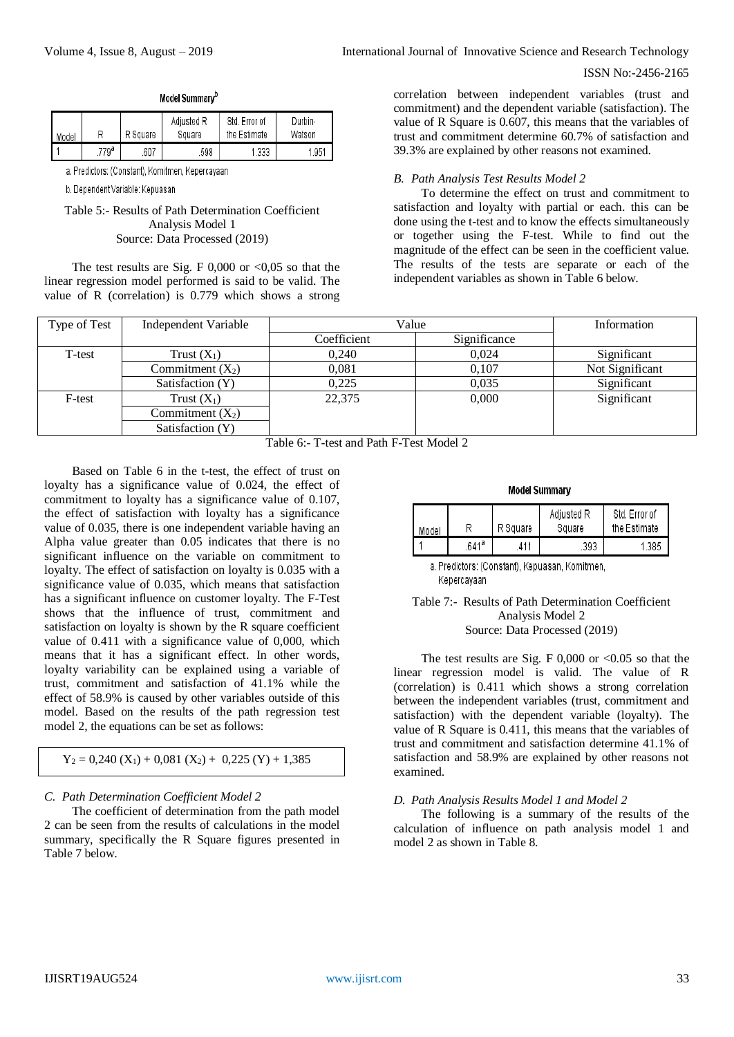| International Journal of Innovative Science and Research Technology |
|---------------------------------------------------------------------|
|---------------------------------------------------------------------|

| Model |      | R Square | Adjusted R<br>Square | Std. Error of<br>the Estimate | Durbin-<br>Watson |
|-------|------|----------|----------------------|-------------------------------|-------------------|
|       | 779ª | .607     | .598                 | 1.333                         | 1.951             |

Model Summarv<sup>b</sup>

a. Predictors: (Constant), Komitmen, Kepercayaan

b. Dependent Variable: Kepuasan

Table 5:- Results of Path Determination Coefficient Analysis Model 1 Source: Data Processed (2019)

The test results are Sig. F  $0,000$  or  $\leq 0,05$  so that the linear regression model performed is said to be valid. The value of R (correlation) is 0.779 which shows a strong correlation between independent variables (trust and commitment) and the dependent variable (satisfaction). The value of R Square is 0.607, this means that the variables of trust and commitment determine 60.7% of satisfaction and 39.3% are explained by other reasons not examined.

## *B. Path Analysis Test Results Model 2*

To determine the effect on trust and commitment to satisfaction and loyalty with partial or each. this can be done using the t-test and to know the effects simultaneously or together using the F-test. While to find out the magnitude of the effect can be seen in the coefficient value. The results of the tests are separate or each of the independent variables as shown in Table 6 below.

| Type of Test | Independent Variable | Value       |              | Information     |
|--------------|----------------------|-------------|--------------|-----------------|
|              |                      | Coefficient | Significance |                 |
| T-test       | Trust $(X_1)$        | 0.240       | 0.024        | Significant     |
|              | Commitment $(X_2)$   | 0.081       | 0.107        | Not Significant |
|              | Satisfaction (Y)     | 0.225       | 0.035        | Significant     |
| F-test       | Trust $(X_1)$        | 22,375      | 0.000        | Significant     |
|              | Commitment $(X_2)$   |             |              |                 |
|              | Satisfaction (Y)     |             |              |                 |

Table 6:- T-test and Path F-Test Model 2

Based on Table 6 in the t-test, the effect of trust on loyalty has a significance value of 0.024, the effect of commitment to loyalty has a significance value of 0.107, the effect of satisfaction with loyalty has a significance value of 0.035, there is one independent variable having an Alpha value greater than 0.05 indicates that there is no significant influence on the variable on commitment to loyalty. The effect of satisfaction on loyalty is 0.035 with a significance value of 0.035, which means that satisfaction has a significant influence on customer loyalty. The F-Test shows that the influence of trust, commitment and satisfaction on loyalty is shown by the R square coefficient value of 0.411 with a significance value of 0,000, which means that it has a significant effect. In other words, loyalty variability can be explained using a variable of trust, commitment and satisfaction of 41.1% while the effect of 58.9% is caused by other variables outside of this model. Based on the results of the path regression test model 2, the equations can be set as follows:

$$
Y_2 = 0,240 (X_1) + 0,081 (X_2) + 0,225 (Y) + 1,385
$$

## *C. Path Determination Coefficient Model 2*

The coefficient of determination from the path model 2 can be seen from the results of calculations in the model summary, specifically the R Square figures presented in Table 7 below.

#### **Model Summary**

| Model |      | R Square | Adjusted R<br>Square | Std. Error of<br>the Estimate |
|-------|------|----------|----------------------|-------------------------------|
|       | 641ª | 411      | .393                 | 1.385                         |

a. Predictors: (Constant), Kepuasan, Komitmen, Kepercayaan

### Table 7:- Results of Path Determination Coefficient Analysis Model 2 Source: Data Processed (2019)

The test results are Sig. F  $0,000$  or  $< 0.05$  so that the linear regression model is valid. The value of R (correlation) is 0.411 which shows a strong correlation between the independent variables (trust, commitment and satisfaction) with the dependent variable (loyalty). The value of R Square is 0.411, this means that the variables of trust and commitment and satisfaction determine 41.1% of satisfaction and 58.9% are explained by other reasons not examined.

## *D. Path Analysis Results Model 1 and Model 2*

The following is a summary of the results of the calculation of influence on path analysis model 1 and model 2 as shown in Table 8.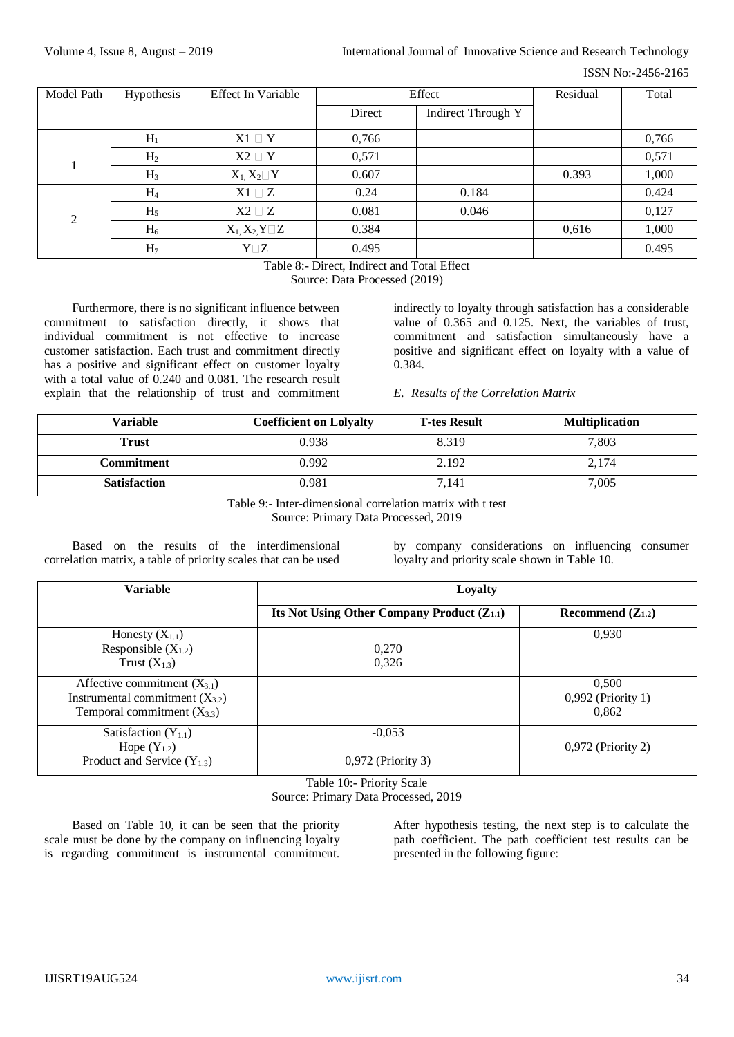## Volume 4, Issue 8, August – 2019 **International Journal of Innovative Science and Research Technology**

ISSN No:-2456-2165

| Model Path | Hypothesis     | <b>Effect In Variable</b> | Effect |                           | Residual | Total |
|------------|----------------|---------------------------|--------|---------------------------|----------|-------|
|            |                |                           | Direct | <b>Indirect Through Y</b> |          |       |
|            | H <sub>1</sub> | $X1 \square Y$            | 0,766  |                           |          | 0,766 |
|            | H <sub>2</sub> | $X2 \square Y$            | 0,571  |                           |          | 0,571 |
|            | $H_3$          | $X_1, X_2 \square Y$      | 0.607  |                           | 0.393    | 1,000 |
|            | H <sub>4</sub> | $X1 \square Z$            | 0.24   | 0.184                     |          | 0.424 |
| 2          | H <sub>5</sub> | $X2 \square Z$            | 0.081  | 0.046                     |          | 0,127 |
|            | $H_6$          | $X_1, X_2, Y \square Z$   | 0.384  |                           | 0,616    | 1,000 |
|            | H <sub>7</sub> | $Y\square Z$              | 0.495  |                           |          | 0.495 |

Table 8:- Direct, Indirect and Total Effect

Source: Data Processed (2019)

Furthermore, there is no significant influence between commitment to satisfaction directly, it shows that individual commitment is not effective to increase customer satisfaction. Each trust and commitment directly has a positive and significant effect on customer loyalty with a total value of 0.240 and 0.081. The research result explain that the relationship of trust and commitment indirectly to loyalty through satisfaction has a considerable value of 0.365 and 0.125. Next, the variables of trust, commitment and satisfaction simultaneously have a positive and significant effect on loyalty with a value of 0.384.

### *E. Results of the Correlation Matrix*

| Variable            | <b>Coefficient on Lolyalty</b> | <b>T-tes Result</b> | <b>Multiplication</b> |
|---------------------|--------------------------------|---------------------|-----------------------|
| Trust               | 0.938                          | 8.319               | 7,803                 |
| Commitment          | 0.992                          | 2.192               | 2,174                 |
| <b>Satisfaction</b> | 0.981                          | 7,141               | 7,005                 |

Table 9:- Inter-dimensional correlation matrix with t test Source: Primary Data Processed, 2019

Based on the results of the interdimensional correlation matrix, a table of priority scales that can be used by company considerations on influencing consumer loyalty and priority scale shown in Table 10.

| Variable                                                                                                   | Loyalty                                         |                                      |  |  |  |
|------------------------------------------------------------------------------------------------------------|-------------------------------------------------|--------------------------------------|--|--|--|
|                                                                                                            | Its Not Using Other Company Product $(Z_{1,1})$ | Recommend $(Z_{1,2})$                |  |  |  |
| Honesty $(X_{1.1})$<br>Responsible $(X_{1,2})$<br>Trust $(X_{1.3})$                                        | 0,270<br>0,326                                  | 0.930                                |  |  |  |
| Affective commitment $(X_{3,1})$<br>Instrumental commitment $(X_{3,2})$<br>Temporal commitment $(X_{3,3})$ |                                                 | 0,500<br>0,992 (Priority 1)<br>0.862 |  |  |  |
| Satisfaction $(Y_{1,1})$<br>Hope $(Y_{1,2})$<br>Product and Service $(Y_{1,3})$                            | $-0.053$<br>$0,972$ (Priority 3)                | $0,972$ (Priority 2)                 |  |  |  |

Table 10:- Priority Scale

Source: Primary Data Processed, 2019

Based on Table 10, it can be seen that the priority scale must be done by the company on influencing loyalty is regarding commitment is instrumental commitment.

After hypothesis testing, the next step is to calculate the path coefficient. The path coefficient test results can be presented in the following figure: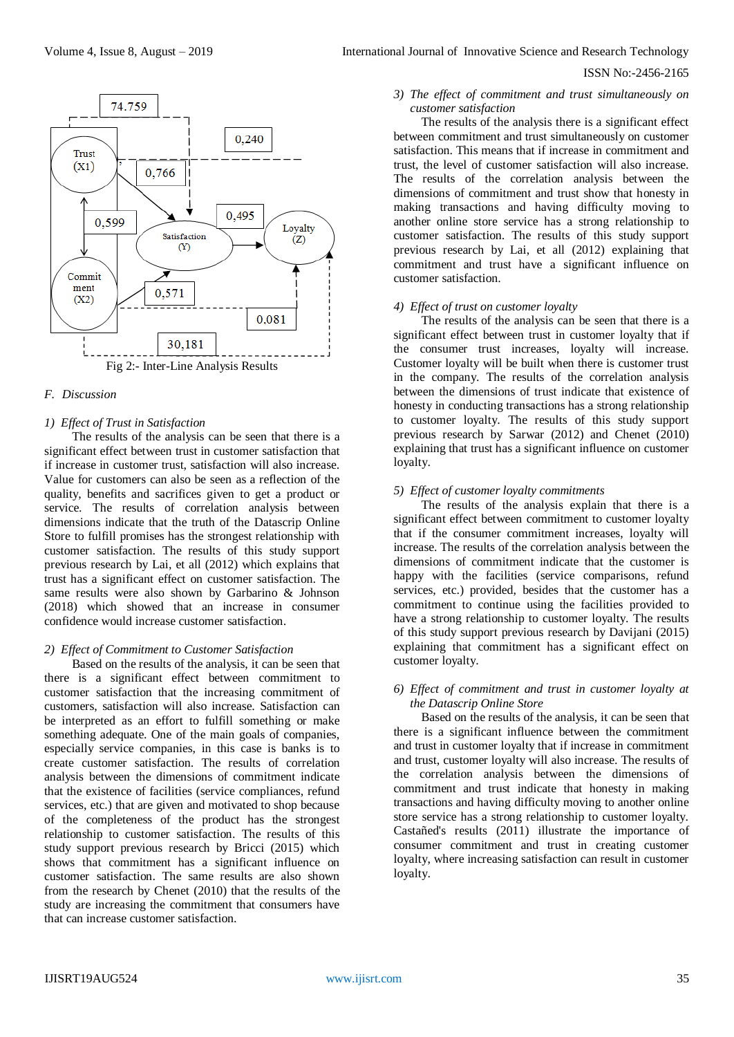

### *F. Discussion*

### *1) Effect of Trust in Satisfaction*

The results of the analysis can be seen that there is a significant effect between trust in customer satisfaction that if increase in customer trust, satisfaction will also increase. Value for customers can also be seen as a reflection of the quality, benefits and sacrifices given to get a product or service. The results of correlation analysis between dimensions indicate that the truth of the Datascrip Online Store to fulfill promises has the strongest relationship with customer satisfaction. The results of this study support previous research by Lai, et all (2012) which explains that trust has a significant effect on customer satisfaction. The same results were also shown by Garbarino & Johnson (2018) which showed that an increase in consumer confidence would increase customer satisfaction.

#### *2) Effect of Commitment to Customer Satisfaction*

Based on the results of the analysis, it can be seen that there is a significant effect between commitment to customer satisfaction that the increasing commitment of customers, satisfaction will also increase. Satisfaction can be interpreted as an effort to fulfill something or make something adequate. One of the main goals of companies, especially service companies, in this case is banks is to create customer satisfaction. The results of correlation analysis between the dimensions of commitment indicate that the existence of facilities (service compliances, refund services, etc.) that are given and motivated to shop because of the completeness of the product has the strongest relationship to customer satisfaction. The results of this study support previous research by Bricci (2015) which shows that commitment has a significant influence on customer satisfaction. The same results are also shown from the research by Chenet (2010) that the results of the study are increasing the commitment that consumers have that can increase customer satisfaction.

## ISSN No:-2456-2165

# *3) The effect of commitment and trust simultaneously on customer satisfaction*

The results of the analysis there is a significant effect between commitment and trust simultaneously on customer satisfaction. This means that if increase in commitment and trust, the level of customer satisfaction will also increase. The results of the correlation analysis between the dimensions of commitment and trust show that honesty in making transactions and having difficulty moving to another online store service has a strong relationship to customer satisfaction. The results of this study support previous research by Lai, et all (2012) explaining that commitment and trust have a significant influence on customer satisfaction.

### *4) Effect of trust on customer loyalty*

The results of the analysis can be seen that there is a significant effect between trust in customer loyalty that if the consumer trust increases, loyalty will increase. Customer loyalty will be built when there is customer trust in the company. The results of the correlation analysis between the dimensions of trust indicate that existence of honesty in conducting transactions has a strong relationship to customer loyalty. The results of this study support previous research by Sarwar (2012) and Chenet (2010) explaining that trust has a significant influence on customer loyalty.

## *5) Effect of customer loyalty commitments*

The results of the analysis explain that there is a significant effect between commitment to customer loyalty that if the consumer commitment increases, loyalty will increase. The results of the correlation analysis between the dimensions of commitment indicate that the customer is happy with the facilities (service comparisons, refund services, etc.) provided, besides that the customer has a commitment to continue using the facilities provided to have a strong relationship to customer loyalty. The results of this study support previous research by Davijani (2015) explaining that commitment has a significant effect on customer loyalty.

#### *6) Effect of commitment and trust in customer loyalty at the Datascrip Online Store*

Based on the results of the analysis, it can be seen that there is a significant influence between the commitment and trust in customer loyalty that if increase in commitment and trust, customer loyalty will also increase. The results of the correlation analysis between the dimensions of commitment and trust indicate that honesty in making transactions and having difficulty moving to another online store service has a strong relationship to customer loyalty. Castañed's results (2011) illustrate the importance of consumer commitment and trust in creating customer loyalty, where increasing satisfaction can result in customer loyalty.